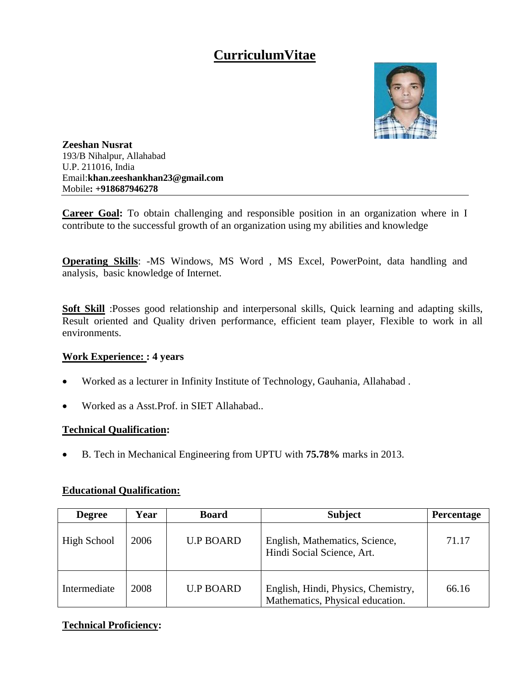# **CurriculumVitae**



**Zeeshan Nusrat** 193/B Nihalpur, Allahabad U.P. 211016, India Email:**khan.zeeshankhan23@gmail.com** Mobile**: +918687946278**

**Career Goal:** To obtain challenging and responsible position in an organization where in I contribute to the successful growth of an organization using my abilities and knowledge

**Operating Skills**: -MS Windows, MS Word , MS Excel, PowerPoint, data handling and analysis, basic knowledge of Internet.

**Soft Skill** :Posses good relationship and interpersonal skills, Quick learning and adapting skills, Result oriented and Quality driven performance, efficient team player, Flexible to work in all environments.

# **Work Experience: : 4 years**

- Worked as a lecturer in Infinity Institute of Technology, Gauhania, Allahabad .
- Worked as a Asst.Prof. in SIET Allahabad..

#### **Technical Qualification:**

B. Tech in Mechanical Engineering from UPTU with **75.78%** marks in 2013.

| <b>Degree</b> | Year | <b>Board</b>     | <b>Subject</b>                                                          | Percentage |
|---------------|------|------------------|-------------------------------------------------------------------------|------------|
| High School   | 2006 | <b>U.P BOARD</b> | English, Mathematics, Science,<br>Hindi Social Science, Art.            | 71.17      |
| Intermediate  | 2008 | <b>U.P BOARD</b> | English, Hindi, Physics, Chemistry,<br>Mathematics, Physical education. | 66.16      |

#### **Educational Qualification:**

# **Technical Proficiency:**